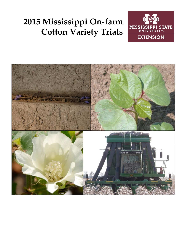# **2015 Mississippi On-farm Cotton Variety Trials**



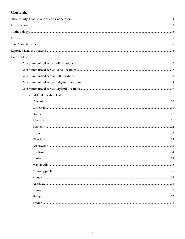## Contents

| Data Tables                     |    |
|---------------------------------|----|
|                                 |    |
|                                 |    |
|                                 |    |
|                                 |    |
|                                 |    |
| Individual Trial Location Data: |    |
|                                 |    |
|                                 |    |
|                                 |    |
|                                 |    |
|                                 |    |
|                                 |    |
|                                 |    |
|                                 |    |
| Itta Bena                       | 14 |
|                                 |    |
|                                 |    |
|                                 |    |
|                                 |    |
|                                 |    |
|                                 |    |
|                                 |    |
|                                 |    |
|                                 |    |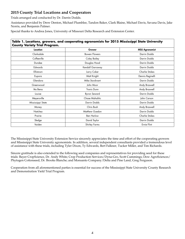## **2015 County Trial Locations and Cooperators**

Trials arranged and conducted by Dr. Darrin Dodds.

Assistance provided by Drew Denton, Michael Plumblee, Tandon Baker, Clark Blaine, Michael Davis, Savana Davis, Jake Norris, and Benjamin Palmer.

Special thanks to Andrea Jones, University of Missouri Delta Research and Extension Center.

| <b>County Variety Trial Program.</b> | Table 1. Locations, growers, and cooperating agronomists for 2015 Mississippi State University |                       |
|--------------------------------------|------------------------------------------------------------------------------------------------|-----------------------|
| Location                             | Grower                                                                                         | <b>MSU Agronomist</b> |
| Clarksdale                           | <b>Bowen Flowers</b>                                                                           | Darrin Dodds          |
| Coffeeville                          | Coley Bailey                                                                                   | Darrin Dodds          |
| Dundee                               | Douglas Hood                                                                                   | Darrin Dodds          |
| Edwards                              | Kendall Garraway                                                                               | Darrin Dodds          |
| Ellistown                            | Larry Coker                                                                                    | <b>Charlie Stokes</b> |
| Eupora                               | Matt Knight                                                                                    | Dennis Reginelli      |
| Glendora                             | Mike Sturdivant                                                                                | Darrin Dodds          |
| Greenwood                            | John Moor                                                                                      | Andy Braswell         |
| Itta Bena                            | <b>Travis Dunn</b>                                                                             | Andy Braswell         |
| Louise                               | Byron Seward                                                                                   | Darrin Dodds          |
| Meyersville                          | <b>Chase Mahalitic</b>                                                                         | John Carson           |
| Mississippi State                    | Darrin Dodds                                                                                   | Darrin Dodds          |
| Money                                | Chris Bush                                                                                     | Andy Braswell         |
| Natchez                              | Matthew Guedon                                                                                 | Darrin Dodds          |
| Prairie                              | <b>Ben Harlow</b>                                                                              | <b>Charlie Stokes</b> |
| Sledge                               | David Taylor                                                                                   | Darrin Dodds          |
| Vaiden                               | Shirley Farms                                                                                  | Ernie Flint           |

The Mississippi State University Extension Service sincerely appreciates the time and effort of the cooperating growers and Mississippi State University agronomists. In addition, several independent consultants provided a tremendous level of assistance with these trials, including Tyler Dixon, Ty Edwards, Bert Falkner, Tucker Miller, and Tim Richards.

Sincere gratitude is also extended to the following seed companies and representatives for providing seed for these trials: Bayer CropScience, Dr. Andy White; Crop Production Services/Dyna-Gro, Scott Cummings; Dow AgroSciences/ Phytogen Cottonseed, Dr. Brooks Blanche; and Monsanto Company/Delta and Pine Land, Greg Ferguson.

Cooperation from all aforementioned parties is essential for success of the Mississippi State University County Research and Demonstration Yield Trial Program.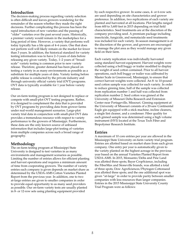## **Introduction**

The decision-making process regarding variety selection is often difficult and leaves growers wondering for the remainder of the season whether they made the right decisions. Further complicating this process has been the rapid introduction of new varieties and the passing of "older" varieties over the past several years. Historically, a premier variety would remain in the marketplace for a long period of time. However, a variety that performs well today typically has a life span of 4–6 years. One that does not perform well will likely remain on the market for fewer than 3 years. In addition, the historical standard for variety testing information was to have 2–3 years of data before releasing any given variety. Today, 1–2 years of "broadscale" variety testing is common prior to new variety release. Therefore, greater demand has been placed on testing a variety in as many environments as possible as a substitute for multiple years of data. Variety testing before public release is conducted by the private industry and through university official variety trial (OVT) programs. OVT data is typically available for 1 year before variety release.

Our on-farm testing program is not designed to replace or compete with small-plot OVT testing programs. Rather, it is designed to complement the data that is provided by OVT programs by providing data from grower farms under real-world management scenarios. Large-plot variety trial data in conjunction with small-plot OVT data provides a tremendous resource with respect to variety performance to the growers of Mississippi. Furthermore, these data are the only known source of unbiased information that includes large-plot testing of varieties from multiple companies across such a broad range of geography.

## **Methodology**

The on-farm testing program at Mississippi State University is designed to test varieties in as many environments and management scenarios as possible. Limiting the number of entries allows for efficient planting and harvest operations and requires a minimum amount of time from cooperating growers. The number of variety entries each company is given depends on market share as determined by the USDA-AMS Cotton Varieties Planted Report from the previous year. In addition, one to two at-large entries are given to smaller companies in order to provide equal opportunity to as many seed providers as possible. Our on-farm variety tests are usually planted in 8- or 12-row sets using planting equipment provided

by each respective grower. In some cases, 4- or 6-row sets are used depending on site characteristics and grower preference. In addition, two replications of each variety are planted and harvested at all locations. Plot lengths ranged from 600 to 3,600 feet in 2015 depending on trial field characteristics. Seed treatments are at the discretion of the company providing seed. A premium package including insecticide, fungicide, and nematacide seed treatments was included for each variety. In-season management is at the discretion of the grower, and growers are encouraged to manage the plot area as they would manage any given field on their farm.

Each variety replication was individually harvested using standard harvest equipment. Harvest weights were collected using a boll buggy or trailer modified to display the weight of seed cotton contained. Prior to all harvest operations, each boll buggy or trailer was calibrated by Master Scale in Greenwood, Mississippi, to ensure that correct harvest weights were collected. An 8- to 10-pound seed cotton sample was collected for each variety. In order to reduce ginning time, half of the sample was collected from replication number 1 and half was collected from replication number 2. Seed cotton was ginned at the University of Missouri Delta Research and Extension Center near Portageville, Missouri. Ginning equipment at the University of Missouri consists of a 20-saw Continental Eagle gin equipped with a stick machine, incline cleaners, a single lint cleaner, and a condenser. Fiber quality for each ginned sample was determined using a high volume instrument (HVI) located at the Texas Tech Fiber and Biopolymer Research Institute.

#### **Entries**

A maximum of 10 core entries per year are allowed in the Mississippi State University on-farm variety trial program. Entries are allotted based on market share from each given company. One entry per year is automatically given to the variety planted on the highest acreage in the previous year based on the annual Varieties Planted Report from USDA-AMS. In 2015, Monsanto/Delta and Pine Land was allotted three spots; Bayer CropScience, including the FiberMax and Stoneville brands, was allotted a total of three spots; Dow AgroSciences/Phytogen Cottonseed was allotted three spots; and the one additional spot was given "at-large" in order to provide parity between smaller companies with less resources than larger companies. Entries in the 2015 Mississippi State University County Trial Program were as follows: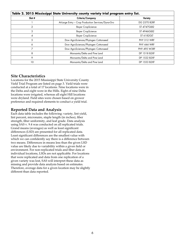| Table 2. 2015 Mississippi State University county variety trial program entry list. |                                                    |                     |  |  |  |  |  |
|-------------------------------------------------------------------------------------|----------------------------------------------------|---------------------|--|--|--|--|--|
| Slot #                                                                              | Criteria/Company                                   | <b>Variety</b>      |  |  |  |  |  |
|                                                                                     | At-Large Entry - Crop Production Services/Dyna-Gro | <b>DG 2570 B2RF</b> |  |  |  |  |  |
|                                                                                     | <b>Bayer CropScience</b>                           | ST 4747GLB2         |  |  |  |  |  |
| 3                                                                                   | <b>Bayer CropScience</b>                           | ST 4946GLB2         |  |  |  |  |  |
| 4                                                                                   | <b>Bayer CropScience</b>                           | ST 6182GLT          |  |  |  |  |  |
| 5                                                                                   | Dow AgroSciences/Phytogen Cottonseed               | PHY 312 WRF         |  |  |  |  |  |
| 6                                                                                   | Dow AgroSciences/Phytogen Cottonseed               | PHY 444 WRF         |  |  |  |  |  |
|                                                                                     | Dow AgroSciences/Phytogen Cottonseed               | <b>PHY 495 W3RF</b> |  |  |  |  |  |
| 8                                                                                   | Monsanto/Delta and Pine Land                       | DP 1518 B2XF        |  |  |  |  |  |
| 9                                                                                   | Monsanto/Delta and Pine Land                       | DP 1522 B2XF        |  |  |  |  |  |
| 10                                                                                  | Monsanto/Delta and Pine Land                       | DP 1553 B2XF        |  |  |  |  |  |

#### **Site Characteristics**

Locations for the 2015 Mississippi State University County Yield Trial Program are listed on page 3. Yield trials were conducted at a total of 17 locations. Nine locations were in the Delta and eight were in the Hills. Eight of nine Delta locations were irrigated, whereas all eight Hill locations were dryland. Field sites were chosen based on grower preference and required elements to conduct a yield trial.

#### **Reported Data and Analysis**

Each data table includes the following: variety, lint yield, lint percent, micronaire, staple length (in inches), fiber strength, fiber uniformity, and leaf grade. Data analysis using SAS v. 9.4 was conducted on all replicated trials. Grand means (averages) as well as least significant differences (LSD) are presented for all replicated data. Least significant differences are the smallest value with which we can confidently say there is a difference between two means. Differences in means less than the given LSD value are likely due to variability within a given field or environment. For non-replicated trials and fiber data at individual locations, LSDs are not applicable. For locations that were replicated and data from one replication of a given variety was lost, SAS will interpret these data as missing and provide data analysis based on estimates. Therefore, average data for a given location may be slightly different than data reported.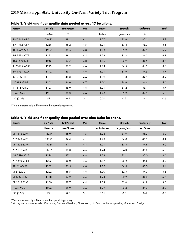## **2015 Mississippi State University On-Farm Variety Trial Program**

| <b>Variety</b>      | <b>Lint Yield</b> | <b>Lint Percent</b> | Mic | Staple         | Strength      | <b>Uniformity</b> | Leaf |
|---------------------|-------------------|---------------------|-----|----------------|---------------|-------------------|------|
|                     | Lb/Acre           | ----- % -----       |     | --- Inches --- | - grams/tex - | ---- % ----       |      |
| PHY 444 WRF         | $1345*$           | 39.2                | 4.1 | 1.27           | 33.6          | 85.5              | 4.9  |
| PHY 312 WRF         | 1288              | 38.2                | 4.5 | 1.21           | 33.4          | 85.3              | 6.1  |
| DP 1522 B2XF        | 1287              | 38.5                | 4.8 | 1.18           | 32.9          | 84.3              | 5.9  |
| DP 1518 B2XF        | 1272              | 38.1                | 4.4 | 1.18           | 31.3          | 84.3              | 6.1  |
| <b>DG 2570 B2RF</b> | 1243              | 37.7                | 4.8 | 1.16           | 33.9          | 84.5              | 3.6  |
| <b>PHY 495 W3RF</b> | 1213              | 39.2                | 4.6 | 1.14           | 34.5          | 84.3              | 4.8  |
| DP 1553 B2XF        | 1192              | 39.3                | 4.6 | 1.21           | 31.9          | 84.5              | 3.7  |
| ST 6182GLT          | 1181              | 40.3                | 4.6 | 1.19           | 31.8          | 84.3              | 3.9  |
| ST 4946GLB2         | 1163              | 36.6                | 4.7 | 1.20           | 34.6          | 84.6              | 5.6  |
| ST 4747GLB2         | 1127              | 35.9                | 4.6 | 1.21           | 31.2          | 83.7              | 5.7  |
| <b>Grand Mean</b>   | 1231              | 38.3                | 4.6 | 1.20           | 32.9          | 84.5              | 5.0  |
| LSD (0.05)          | 57                | 0.6                 | 0.1 | 0.01           | 0.5           | 0.3               | 0.6  |

**Table 3. Yield and fiber quality data pooled across 17 locations.**

\*Yield not statistically different than the top-yielding variety.

#### **Table 4. Yield and fiber quality data pooled over nine Delta locations.**

| <b>Variety</b>      | <b>Lint Yield</b> | <b>Lint Percent</b> | Mic | <b>Staple</b>  | Strength      | <b>Uniformity</b> | Leaf |
|---------------------|-------------------|---------------------|-----|----------------|---------------|-------------------|------|
|                     | Lb/Acre           | ----- % -----       |     | --- Inches --- | - grams/tex - | ---- % ----       |      |
| DP 1518 B2XF        | 1405*             | 36.9                | 4.5 | 1.22           | 31.9          | 85.2              | 6.0  |
| PHY 444 WRF         | 1395*             | 37.4                | 4.1 | 1.29           | 34.0          | 85.9              | 4.1  |
| DP 1522 B2XF        | 1392*             | 37.1                | 4.8 | 1.21           | 33.8          | 84.8              | 6.0  |
| PHY 312 WRF         | $1371*$           | 36.8                | 4.5 | 1.24           | 34.0          | 85.8              | 5.8  |
| <b>DG 2570 B2RF</b> | 1324              | 37.2                | 4.8 | 1.18           | 33.1          | 85.0              | 3.6  |
| <b>PHY 495 W3RF</b> | 1283              | 38.0                | 4.6 | 1.17           | 35.2          | 84.6              | 4.9  |
| <b>ST 4946GLB2</b>  | 1259              | 35.5                | 4.8 | 1.22           | 34.4          | 85.0              | 5.4  |
| ST 6182GLT          | 1222              | 38.5                | 4.6 | 1.20           | 32.5          | 84.3              | 3.6  |
| <b>ST 4747GLB2</b>  | 1158              | 34.2                | 4.5 | 1.23           | 32.2          | 84.6              | 5.7  |
| DP 1553 B2XF        | 1150              | 37.7                | 4.4 | 1.24           | 32.6          | 84.8              | 3.5  |
| <b>Grand Mean</b>   | 1296              | 36.9                | 4.6 | 1.22           | 33.4          | 85.0              | 4.9  |
| LSD (0.05)          | 72                | 0.6                 | 0.1 | 0.01           | 0.7           | 0.4               | 0.8  |

\*Yield not statistically different than the top-yielding variety.

Delta region locations included Clarksdale, Dundee, Glendora, Greenwood, Itta Bena, Louise, Mayersville, Money, and Sledge.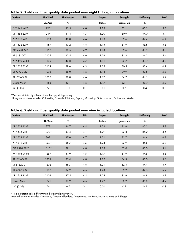| <b>Variety</b>      | <b>Lint Yield</b> | <b>Lint Percent</b> | Mic | <b>Staple</b>  | Strength      | <b>Uniformity</b> | Leaf    |
|---------------------|-------------------|---------------------|-----|----------------|---------------|-------------------|---------|
|                     | Lb/Acre           | ----- % -----       |     | --- Inches --- | - grams/tex - | ---- % ----       |         |
| PHY 444 WRF         | 1290*             | 41.5                | 4.0 | 1.25           | 33.1          | 85.1              | 5.7     |
| DP 1553 B2XF        | $1244*$           | 41.4                | 4.7 | 1.20           | 30.9          | 84.0              | 3.9     |
| PHY 312 WRF         | 1193              | 40.0                | 4.6 | 1.18           | 32.6          | 84.7              | 6.4     |
| DP 1522 B2XF        | 1167              | 40.2                | 4.8 | 1.15           | 31.9          | 83.6              | 5.8     |
| <b>DG 2570 B2RF</b> | 1152              | 38.5                | 4.9 | 1.13           | 32.6          | 83.9              | 3.5     |
| ST 6182GLT          | 1135              | 42.5                | 4.6 | 1.16           | 31.2          | 84.2              | 4.4     |
| <b>PHY 495 W3RF</b> | 1135              | 40.8                | 4.7 | 1.11           | 33.7          | 83.9              | 4.8     |
| DP 1518 B2XF        | 1119              | 39.6                | 4.3 | 1.15           | 30.5          | 83.4              | $6.2\,$ |
| ST 4747GLB2         | 1095              | 38.0                | 4.6 | 1.18           | 29.9          | 82.6              | 5.8     |
| ST 4946GLB2         | 1052              | 38.0                | 4.6 | 1.17           | 34.7          | 84.1              | 5.9     |
| <b>Grand Mean</b>   | 1158              | 40.1                | 4.6 | 1.17           | 32.1          | 83.9              | 5.2     |
| LSD (0.05)          | 77                | 1.0                 | 0.1 | 0.01           | 0.6           | 0.4               | 0.8     |

**Table 5. Yield and fiber quality data pooled over eight Hill region locations.**

\*Yield not statistically different than the top-yielding variety.

Hill region locations included Coffeeville, Edwards, Ellistown, Eupora, Mississippi State, Natchez, Prairie, and Vaiden.

| Table 6. Yield and fiber quality data pooled over nine irrigated locations. |  |  |  |  |  |  |  |  |  |  |
|-----------------------------------------------------------------------------|--|--|--|--|--|--|--|--|--|--|
|-----------------------------------------------------------------------------|--|--|--|--|--|--|--|--|--|--|

| <b>Variety</b>      | <b>Lint Yield</b> | <b>Lint Percent</b> | Mic | <b>Staple</b>  | Strength      | <b>Uniformity</b> | Leaf |
|---------------------|-------------------|---------------------|-----|----------------|---------------|-------------------|------|
|                     | Lb/Acre           | ----- % -----       |     | --- Inches --- | - grams/tex - | ---- % ----       |      |
| DP 1518 B2XF        | $1373*$           | 36.7                | 4.4 | 1.22           | 31.6          | 85.1              | 5.8  |
| PHY 444 WRF         | $1372*$           | 37.4                | 4.1 | 1.29           | 33.8          | 86.0              | 4.4  |
| DP 1522 B2XF        | 1362*             | 37.0                | 4.7 | 1.21           | 33.7          | 84.4              | 6.3  |
| PHY 312 WRF         | 1350*             | 36.7                | 4.5 | 1.24           | 33.9          | 85.8              | 5.8  |
| <b>DG 2570 B2RF</b> | $1315*$           | 37.1                | 4.8 | 1.18           | 33.0          | 85.0              | 3.4  |
| <b>PHY 495 W3RF</b> | 1257              | 37.9                | 4.5 | 1.17           | 34.9          | 84.5              | 4.8  |
| ST 4946GLB2         | 1234              | 35.4                | 4.8 | 1.22           | 34.3          | 85.0              | 5.7  |
| ST 6182GLT          | 1202              | 38.7                | 4.6 | 1.21           | 32.3          | 84.4              | 3.7  |
| <b>ST 4747GLB2</b>  | 1137              | 34.2                | 4.5 | 1.23           | 32.2          | 84.6              | 5.9  |
| DP 1553 B2XF        | 1109              | 37.5                | 4.4 | 1.24           | 32.6          | 84.9              | 3.7  |
| <b>Grand Mean</b>   | 1271              | 36.9                | 4.5 | 1.22           | 33.2          | 85.0              | 4.9  |
| LSD (0.05)          | 76                | 0.7                 | 0.1 | 0.01           | 0.7           | 0.4               | 0.8  |

\*Yield not statistically different than the top-yielding variety.

Irrigated locations included Clarksdale, Dundee, Glendora, Greenwood, Itta Bena, Louise, Money, and Sledge.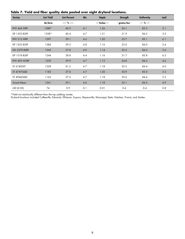| <b>Variety</b>      | <b>Lint Yield</b> | <b>Lint Percent</b> | Mic | Staple         | Strength      | <b>Uniformity</b> | Leaf  |
|---------------------|-------------------|---------------------|-----|----------------|---------------|-------------------|-------|
|                     | Lb/Acre           | ----- % -----       |     | --- Inches --- | - grams/tex - | ---- % ----       |       |
| PHY 444 WRF         | 1388*             | 40.3                | 4.1 | 1.26           | 34.1          | 85.3              | 5.1   |
| DP 1553 B2XF        | 1338*             | 40.4                | 4.7 | 1.21           | 31.9          | 84.2              | 3.5   |
| PHY 312 WRF         | 1297              | 39.1                | 4.6 | 1.20           | 33.7          | 85.1              | 6.1   |
| DP 1522 B2XF        | 1284              | 39.3                | 4.8 | 1.16           | 33.0          | 84.0              | 5.4   |
| <b>DG 2570 B2RF</b> | 1245              | 37.8                | 4.9 | 1.14           | 33.5          | 84.3              | 3.6   |
| DP 1518 B2XF        | 1244              | 38.8                | 4.4 | 1.16           | 31.7          | 83.8              | 6.2   |
| <b>PHY 495 W3RF</b> | 1239              | 39.9                | 4.7 | 1.13           | 34.8          | 84.3              | 4.6   |
| ST 6182GLT          | 1228              | 41.2                | 4.7 | 1.18           | 32.2          | 84.4              | 4.0   |
| <b>ST 4747GLB2</b>  | 1185              | 37.0                | 4.7 | 1.20           | 30.9          | 83.0              | 5.3   |
| ST 4946GLB2         | 1163              | 37.2                | 4.7 | 1.18           | 35.6          | 84.4              | $5.3$ |
| <b>Grand Mean</b>   | 1261              | 39.1                | 4.6 | 1.18           | 33.1          | 84.3              | 4.9   |
| LSD (0.05)          | 74                | 0.9                 | 0.1 | 0.01           | 0.6           | 0.4               | 0.8   |

#### **Table 7. Yield and fiber quality data pooled over eight dryland locations.**

\*Yield not statistically different than the top yielding variety.

Dryland locations included Coffeeville, Edwards, Ellistown, Eupora, Mayersville, Mississippi State, Natchez, Prairie, and Vaiden.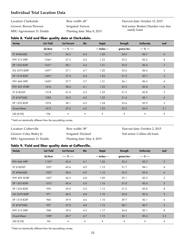## **Individual Trial Location Data**

Location: Clarksdale Grower: Bowen Flowers MSU Agronomist: D. Dodds Row width: 40" Irrigated: Furrow Planting date: May 8, 2015 Harvest date: October 15, 2015 Soil series: Bosket/Dundee very fine sandy loam

#### **Table 8. Yield and fiber quality data at Clarksdale.**

| <b>Variety</b>      | <b>Lint Yield</b> | <b>Lint Percent</b> | Mic       | <b>Staple</b>  | Strength      | <b>Uniformity</b> | Leaf                     |
|---------------------|-------------------|---------------------|-----------|----------------|---------------|-------------------|--------------------------|
|                     | Lb/Acre           | ----- % -----       |           | --- Inches --- | - grams/tex - | ---- % ----       |                          |
| ST 4946GLB2         | $1617*$           | 36.5                | 4.4       | 1.20           | 34.3          | 84.7              | 6                        |
| PHY 312 WRF         | $1544*$           | 37.3                | 4.0       | 1.23           | 35.2          | 85.2              | 8                        |
| DP 1522 B2XF        | $1541*$           | 38.1                | 4.4       | 1.21           | 33.0          | 83.6              | $\overline{7}$           |
| <b>DG 2570 B2RF</b> | $1457*$           | 37.1                | 4.7       | 1.20           | 32.6          | 84.3              | 3                        |
| DP 1518 B2XF        | $1452*$           | 37.4                | 4.4       | 1.23           | 31.3          | 83.7              | 5                        |
| PHY 444 WRF         | 1430*             | 37.7                | 3.7       | 1.31           | 36.1          | 86.5              | $\overline{\mathcal{A}}$ |
| <b>PHY 495 W3RF</b> | 1416              | 38.4                | 4.1       | 1.23           | 33.3          | 83.8              | $\ddot{\circ}$           |
| ST 6182GLT          | 1318              | 41.0                | 4.3       | 1.23           | 31.5          | 83.8              | 3                        |
| <b>ST 4747GLB2</b>  | 1285              | 34.3                | 4.3       | 1.23           | 31.4          | 85.1              | 6                        |
| DP 1553 B2XF        | 1074              | 38.1                | 4.2       | 1.24           | 33.4          | 83.9              | 3                        |
| <b>Grand Mean</b>   | 1413              | 37.6                | 4.2       | 1.23           | 33.2          | 84.5              | 5.1                      |
| LSD (0.05)          | 194               | $\bullet$           | $\bullet$ | $\bullet$      | $\bullet$     | $\bullet$         | $\bullet$                |

\*Yield not statistically different than the top-yielding variety.

| Location: Coffeeville    | Row width: 38"             | Harvest date: October 2, 2015  |
|--------------------------|----------------------------|--------------------------------|
| Grower: Coley Bailey Jr. | Irrigated: Dryland         | Soil series: Collins silt loam |
| MSU Agronomist: D. Dodds | Planting date: May 4, 2015 |                                |

#### **Table 9. Yield and fiber quality data at Coffeeville.**

| <b>Variety</b>      | <b>Lint Yield</b> | <b>Lint Percent</b> | Mic       | Staple         | Strength      | <b>Uniformity</b> | Leaf       |
|---------------------|-------------------|---------------------|-----------|----------------|---------------|-------------------|------------|
|                     | Lb/Acre           | ----- % -----       |           | --- Inches --- | - grams/tex - | ---- % ----       |            |
| PHY 444 WRF         | $1153*$           | 43.6                | 4.1       | 1.26           | 32.4          | 85.2              | $5\,$      |
| ST 6182GLT          | 1037              | 43.6                | 4.9       | 1.15           | 31.7          | 84.1              | 4          |
| <b>ST 4946GLB2</b>  | 1027              | 38.4                | 4.9       | 1.16           | 35.5          | 83.6              | 6          |
| <b>PHY 495 W3RF</b> | 1027              | 42.5                | 4.8       | 1.09           | 35.1          | 83.3              | 5          |
| DP 1553 B2XF        | 1013              | 42.4                | 5.0       | 1.16           | 31.0          | 82.6              | 3          |
| DP 1522 B2XF        | 995               | 39.0                | 5.0       | 1.13           | 31.5          | 83.8              | 8          |
| <b>DG 2570 B2RF</b> | 971               | 40.5                | 4.8       | 1.10           | 32.0          | 83.4              | 3          |
| DP 1518 B2XF        | 960               | 39.9                | 4.6       | 1.10           | 29.7          | 82.1              | 6          |
| <b>ST 4747GLB2</b>  | 957               | 37.8                | 4.8       | 1.15           | 28.1          | 80.7              | $\sqrt{5}$ |
| PHY 312 WRF         | 948               | 39.6                | 4.5       | 1.17           | 34.4          | 85.1              | 8          |
| <b>Grand Mean</b>   | 1009              | 40.7                | 4.7       | 1.15           | 32.1          | 83.4              | 5.3        |
| LSD (0.05)          | 94                | $\bullet$           | $\bullet$ | $\bullet$      | $\bullet$     | $\bullet$         | $\bullet$  |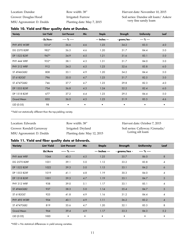| Location: Dundee         | Row width: 38"             |
|--------------------------|----------------------------|
| Grower: Douglas Hood     | Irrigated: Furrow          |
| MSU Agronomist: D. Dodds | Planting date: May 7, 2015 |

Harvest date: November 10, 2015 Soil series: Dundee silt loam/ Askew very fine sandy loam

#### **Table 10. Yield and fiber quality data at Dundee.**

| <b>Variety</b>      | <b>Lint Yield</b> | <b>Lint Percent</b> | Mic       | <b>Staple</b>  | Strength      | <b>Uniformity</b> | Leaf      |
|---------------------|-------------------|---------------------|-----------|----------------|---------------|-------------------|-----------|
|                     | - Lb/Acre -       | ----- % -----       |           | --- Inches --- | - grams/tex - | ---- % ----       |           |
| <b>PHY 495 W3RF</b> | $1014*$           | 36.6                | 4.6       | 1.23           | 34.2          | 83.5              | 4.0       |
| <b>DG 2570 B2RF</b> | 982*              | 36.5                | 4.6       | 1.20           | 31.7          | 84.4              | 5.0       |
| DP 1522 B2XF        | $947*$            | 34.9                | 4.5       | 1.21           | 31.6          | 83.1              | 5.0       |
| PHY 444 WRF         | 932*              | 38.1                | 4.3       | 1.31           | 31.7          | 84.0              | 3.0       |
| PHY 312 WRF         | 912               | 34.5                | 4.5       | 1.23           | 32.6          | 83.8              | 6.0       |
| ST 4946GLB2         | 808               | 33.1                | 4.9       | 1.20           | 34.2          | 84.4              | 5.0       |
| ST 6182GLT          | 796               | 35.0                | 4.7       | 1.23           | 31.7          | 82.5              | 3.0       |
| ST 4747GLB2         | 746               | 37.7                | 4.7       | 1.23           | 29.8          | 82.3              | 4.0       |
| DP 1553 B2XF        | 734               | 36.8                | 4.3       | 1.24           | 32.2          | 82.4              | 6.0       |
| DP 1518 B2XF        | 677               | 37.2                | 4.4       | 1.23           | 29.5          | 84.4              | 5.0       |
| <b>Grand Mean</b>   | 855               | 36.0                | 4.5       | 1.23           | 31.9          | 83.5              | 4.6       |
| LSD (0.05)          | 98                | $\bullet$           | $\bullet$ | $\bullet$      | $\bullet$     | $\bullet$         | $\bullet$ |

\*Yield not statistically different than the top-yielding variety.

| Location: Edwards        | Row width: 38"              | Harvest date: October 7, 2015  |
|--------------------------|-----------------------------|--------------------------------|
| Grower: Kendall Garraway | Irrigated: Dryland          | Soil series: Calloway/Grenada/ |
| MSU Agronomist: D. Dodds | Planting date: May 12, 2015 | Loring silt loam               |

#### **Table 11. Yield and fiber quality data at Edwards.**

| <b>Variety</b>      | <b>Lint Yield</b> | <b>Lint Percent</b> | Mic | <b>Staple</b>  | <b>Strength</b> | <b>Uniformity</b> | Leaf           |
|---------------------|-------------------|---------------------|-----|----------------|-----------------|-------------------|----------------|
|                     | Lb/Acre           | ----- % -----       |     | --- Inches --- | - grams/tex -   | $- - -$ % $- -$   |                |
| PHY 444 WRF         | 1044              | 40.5                | 4.5 | 1.25           | 35.7            | 86.0              | 8              |
| <b>DG 2570 B2RF</b> | 1031              | 39.1                | 5.0 | 1.12           | 33.2            | 83.8              | 4              |
| DP 1522 B2XF        | 1022              | 39.3                | 5.0 | 1.15           | 33.1            | 84.2              | 6              |
| DP 1553 B2XF        | 1019              | 41.1                | 4.8 | 1.19           | 30.3            | 84.0              | 4              |
| DP 1518 B2XF        | 1001              | 39.3                | 4.7 | 1.19           | 33.1            | 84.7              | 5              |
| PHY 312 WRF         | 938               | 39.0                | 5.1 | 1.17           | 33.1            | 85.1              | $\overline{4}$ |
| ST 4946GLB2         | 937               | 38.3                | 5.0 | 1.14           | 35.4            | 84.7              | 5              |
| ST 6182GLT          | 925               | 41.8                | 4.9 | 1.16           | 31.2            | 84.4              | 4              |
| <b>PHY 495 W3RF</b> | 904               | 40.1                | 4.9 | 1.11           | 36.2            | 83.2              | $\overline{4}$ |
| ST 4747GLB2         | 819               | 35.6                | 4.7 | 1.20           | 32.1            | 83.3              | 8              |
| <b>Grand Mean</b>   | 964               | 39.4                | 4.9 | 1.17           | 33.3            | 84.3              | 5.2            |
| LSD (0.05)          | <b>NSD</b>        | $\bullet$           | ٠   | ٠              | ٠               | $\bullet$         | $\bullet$      |

\*NSD = No statistical differences in yield among varieties.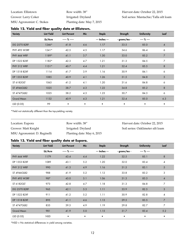| Location: Ellistown       | Row width: 38"             |
|---------------------------|----------------------------|
| Grower: Larry Coker       | Irrigated: Dryland         |
| MSU Agronomist: C. Stokes | Planting date: May 7, 2015 |

## **Table 12. Yield and fiber quality data at Ellistown.**

| <b>Variety</b>      | <b>Lint Yield</b> | <b>Lint Percent</b> | Mic | <b>Staple</b>  | Strength      | <b>Uniformity</b> | Leaf                     |
|---------------------|-------------------|---------------------|-----|----------------|---------------|-------------------|--------------------------|
|                     | Lb/Acre           | ----- % -----       |     | --- Inches --- | - grams/tex - | ---- % ----       |                          |
| <b>DG 2570 B2RF</b> | 1246*             | 41.8                | 4.6 | 1.17           | 33.5          | 85.0              | $\overline{\mathcal{A}}$ |
| <b>PHY 495 W3RF</b> | $1241*$           | 42.5                | 4.5 | 1.17           | 34.6          | 86.4              | 6                        |
| PHY 444 WRF         | $1189*$           | 41.1                | 3.7 | 1.30           | 33.0          | 85.2              | $\overline{7}$           |
| DP 1522 B2XF        | $1182*$           | 42.3                | 4.7 | 1.21           | 31.3          | 84.5              | $\overline{7}$           |
| PHY 312 WRF         | $1151*$           | 40.7                | 4.4 | 1.21           | 32.4          | 85.5              | 8                        |
| DP 1518 B2XF        | 1114              | 41.7                | 3.9 | 1.16           | 30.9          | 84.1              | 6                        |
| DP 1553 B2XF        | 1085              | 40.9                | 4.1 | 1.26           | 31.5          | 84.8              | $\sqrt{5}$               |
| ST 6182GLT          | 1063              | 41.2                | 4.1 | 1.20           | 31.6          | 84.8              | 6                        |
| ST 4946GLB2         | 1025              | 38.7                | 4.3 | 1.22           | 34.8          | 85.2              | 8                        |
| ST 4747GLB2         | 1025              | 38.2                | 4.3 | 1.23           | 30.7          | 84.3              | 6                        |
| <b>Grand Mean</b>   | 1132              | 40.9                | 4.3 | 1.21           | 32.4          | 85.0              | 6.3                      |
| LSD (0.05)          | 99                | $\bullet$           | ٠   | $\bullet$      | ٠             | $\bullet$         | $\bullet$                |

\*Yield not statistically different than the top-yielding variety.

| Location: Eupora             | Row width: 38"             | Harvest date: October 22, 2015    |
|------------------------------|----------------------------|-----------------------------------|
| Grower: Matt Knight          | Irrigated: Dryland         | Soil series: Oaklimeter silt loam |
| MSU Agronomist: D. Reginelli | Planting date: May 6, 2015 |                                   |

#### **Table 13. Yield and fiber quality data at Eupora.**

| <b>Variety</b>      | <b>Lint Yield</b> | <b>Lint Percent</b> | Mic       | <b>Staple</b>  | Strength      | <b>Uniformity</b> | Leaf           |
|---------------------|-------------------|---------------------|-----------|----------------|---------------|-------------------|----------------|
|                     | Lb/Acre           | ----- % -----       |           | --- Inches --- | - grams/tex - | ---- % ----       |                |
| PHY 444 WRF         | 1179              | 43.4                | 4.4       | 1.22           | 32.5          | 85.1              | $\bf 8$        |
| DP 1553 B2XF        | 1089              | 43.1                | $5.2$     | 1.20           | 32.0          | 83.4              | $\overline{4}$ |
| PHY 312 WRF         | 990               | 41.3                | 4.9       | 1.16           | 31.5          | 83.1              | $\sqrt{5}$     |
| ST 4946GLB2         | 988               | 41.9                | $5.2$     | 1.12           | 33.8          | 83.2              | $\sqrt{3}$     |
| <b>PHY 495 W3RF</b> | 987               | 43.0                | 5.1       | 1.06           | 31.3          | 83.3              | $\overline{4}$ |
| ST 6182GLT          | 973               | 42.8                | 4.7       | 1.18           | 31.3          | 84.8              | $\overline{7}$ |
| <b>DG 2570 B2RF</b> | 965               | 42.1                | 5.3       | 1.11           | 33.9          | 82.5              | 3              |
| DP 1522 B2XF        | 911               | 41.2                | $5.2$     | 1.11           | 30.9          | 82.8              | 4              |
| DP 1518 B2XF        | 895               | 41.1                | 4.6       | 1.13           | 29.5          | 83.5              | $\overline{7}$ |
| ST 4747GLB2         | 835               | 39.5                | 4.9       | 1.19           | 29.8          | 82.7              | $\overline{7}$ |
| <b>Grand Mean</b>   | 981               | 41.9                | 5.0       | 1.15           | 31.7          | 83.4              | 5.2            |
| LSD (0.05)          | <b>NSD</b>        | $\bullet$           | $\bullet$ | $\bullet$      | ٠             | $\bullet$         | $\bullet$      |

\*NSD = No statistical differences in yield among varieties.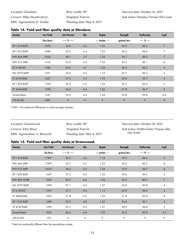| Location: Glendora          | Row width: 38"             |
|-----------------------------|----------------------------|
| Grower: Mike Sturdivant Jr. | Irrigated: Furrow          |
| MSU Agronomist: D. Dodds    | Planting date: May 8, 2015 |

| <b>Variety</b>      | <b>Lint Yield</b> | <b>Lint Percent</b> | Mic       | <b>Staple</b>  | Strength      | <b>Uniformity</b> | Leaf           |
|---------------------|-------------------|---------------------|-----------|----------------|---------------|-------------------|----------------|
|                     | - Lbs/Acre -      | ----- % -----       |           | --- Inches --- | - grams/tex - | ---- % ----       |                |
| DP 1518 B2XF        | 1678              | 34.8                | 4.2       | 1.25           | 32.0          | 85.5              | $\overline{7}$ |
| DP 1522 B2XF        | 1646              | 35.5                | 4.4       | 1.25           | 34.3          | 86.6              | 7              |
| PHY 444 WRF         | 1634              | 36.7                | 3.7       | 1.32           | 34.1          | 86.0              | $\overline{7}$ |
| PHY 312 WRF         | 1616              | 35.8                | 4.3       | 1.23           | 34.2          | 85.1              | 6              |
| ST 6182GLT          | 1586              | 34.9                | 4.7       | 1.23           | 36.0          | 85.2              | $\sqrt{5}$     |
| <b>DG 2570 B2RF</b> | 1531              | 35.0                | 5.0       | 1.19           | 32.7          | 85.3              | 3              |
| <b>ST 4747GLB2</b>  | 1427              | 37.5                | 4.3       | 1.18           | 35.8          | 85.7              | 6              |
| DP 1553 B2XF        | 1394              | 36.9                | 4.3       | 1.25           | 33.7          | 86.0              | 5              |
| ST 4946GLB2         | 1358              | 33.4                | 4.4       | 1.26           | 31.8          | 84.7              | $\,8\,$        |
| <b>Grand Mean</b>   | 1541              | 35.6                | 4.4       | 1.24           | 33.8          | 85.6              | 6.0            |
| LSD (0.05)          | <b>NSD</b>        | $\bullet$           | $\bullet$ |                | $\bullet$     |                   | $\bullet$      |

#### **Table 14. Yield and fiber quality data at Glendora.**

\*NSD = No statistical differences in yield amongst varieties.

| Location: Greenwood         | Row width: 38"             | Harvest date: October 20, 2015       |
|-----------------------------|----------------------------|--------------------------------------|
| Grower: John Moor           | Irrigated: Furrow          | Soil series: Dubbs loam/Tensas silty |
| MSU Agronomist: A. Braswell | Planting date: May 4, 2015 | clay loam                            |

#### **Table 15. Yield and fiber quality data at Greenwood.**

| <b>Variety</b>      | <b>Lint Yield</b> | <b>Lint Percent</b> | Mic | Staple         | Strength      | <b>Uniformity</b> | Leaf                     |
|---------------------|-------------------|---------------------|-----|----------------|---------------|-------------------|--------------------------|
|                     | Lb/Acre           | ----- % -----       |     | --- Inches --- | - grams/tex - | ---- % ----       |                          |
| DP 1518 B2XF        | $1784*$           | 36.2                | 4.6 | 1.18           | 33.0          | 84.6              | $\overline{\mathcal{A}}$ |
| PHY 444 WRF         | 1769*             | 35.7                | 4.2 | 1.23           | 30.5          | 85.2              | 8                        |
| PHY 312 WRF         | 1654*             | 36.6                | 4.5 | 1.24           | 33.9          | 84.7              | 8                        |
| DP 1522 B2XF        | 1607              | 37.5                | 4.3 | 1.22           | 30.6          | 84.2              | $\overline{\mathbf{c}}$  |
| <b>PHY 495 W3RF</b> | 1543              | 34.3                | 4.4 | 1.26           | 33.5          | 86.9              | 7                        |
| DG 2570 B2RF        | 1509              | 37.1                | 4.2 | 1.27           | 32.0          | 85.8              | 4                        |
| ST 6182GLT          | 1493              | 37.7                | 4.6 | 1.14           | 33.9          | 84.0              | 3                        |
| ST 4946GLB2         | 1455              | 31.8                | 4.2 | 1.25           | 31.8          | 85.0              | 8                        |
| DP 1553 B2XF        | 1409              | 33.9                | 4.8 | 1.22           | 34.6          | 85.1              | 5                        |
| ST 4747GLB2         | 1295              | 39.1                | 4.2 | 1.21           | 30.9          | 84.8              | 3                        |
| <b>Grand Mean</b>   | 1552              | 36.0                | 4.4 | 1.22           | 32.5          | 85.0              | 5.2                      |
| LSD (0.05)          | 153               | $\bullet$           | ٠   | $\bullet$      | ٠             | $\bullet$         |                          |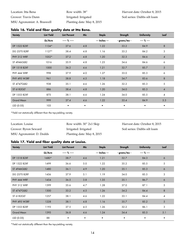| Location: Itta Bena         | Row width: 38"             | Harvest date: October 8, 2015 |
|-----------------------------|----------------------------|-------------------------------|
| Grower: Travis Dunn         | Irrigated: Irrigated       | Soil series: Dubbs silt loam  |
| MSU Agronomist: A. Braswell | Planting date: May 8, 2015 |                               |

|                     |                   | ,                   |     |                |               |                   |                |
|---------------------|-------------------|---------------------|-----|----------------|---------------|-------------------|----------------|
| <b>Variety</b>      | <b>Lint Yield</b> | <b>Lint Percent</b> | Mic | <b>Staple</b>  | Strength      | <b>Uniformity</b> | Leaf           |
|                     | Lb/Acre           | ----- % -----       |     | --- Inches --- | - grams/tex - | ---- % ----       |                |
| DP 1522 B2XF        | $1134*$           | 37.6                | 4.8 | 1.22           | 33.2          | 84.9              | $\,8\,$        |
| <b>DG 2570 B2RF</b> | $1127*$           | 38.4                | 4.8 | 1.16           | 33.2          | 84.2              | 3              |
| PHY 312 WRF         | 1052*             | 37.2                | 4.8 | 1.20           | 32.3          | 84.6              | 4              |
| ST 4946GLB2         | 1016              | 35.9                | 4.8 | 1.25           | 34.6          | 84.6              | 6              |
| DP 1518 B2XF        | 1000              | 36.2                | 4.6 | 1.21           | 32.7          | 85.7              | 5              |
| PHY 444 WRF         | 998               | 37.9                | 4.0 | 1.27           | 33.0          | 85.3              | 6              |
| <b>PHY 495 W3RF</b> | 961               | 38.8                | 4.5 | 1.18           | 34.7          | 83.6              | $\,8\,$        |
| ST 4747GLB2         | 938               | 35.1                | 4.6 | 1.26           | 32.2          | 85.3              | 5              |
| ST 6182GLT          | 886               | 38.4                | 4.8 | 1.20           | 34.0          | 85.3              | $\overline{4}$ |
| DP 1553 B2XF        | 875               | 38.1                | 4.6 | 1.24           | 34.0          | 85.5              | 4              |
| <b>Grand Mean</b>   | 999               | 37.4                | 4.6 | 1.22           | 33.4          | 84.9              | 5.3            |
| LSD (0.05)          | 103               | $\bullet$           | ٠   | ٠              | ٠             | $\bullet$         | $\bullet$      |

#### **Table 16. Yield and fiber quality data at Itta Bena.**

\*Yield not statistically different than the top-yielding variety.

| Location: Louise         | Row width: 30" 2x1 Skip    | Harvest date: October 8, 2015 |
|--------------------------|----------------------------|-------------------------------|
| Grower: Byron Seward     | Irrigated: Irrigated       | Soil series: Dubbs silt loam  |
| MSU Agronomist: D. Dodds | Planting date: May 8, 2015 |                               |

### **Table 17. Yield and fiber quality data at Louise.**

| <b>Variety</b>      | <b>Lint Yield</b> | <b>Lint Percent</b> | Mic       | <b>Staple</b>  | Strength      | <b>Uniformity</b> | Leaf |
|---------------------|-------------------|---------------------|-----------|----------------|---------------|-------------------|------|
|                     | Lb/Acre           | ----- % -----       |           | --- Inches --- | - grams/tex - | ---- % ----       |      |
| DP 1518 B2XF        | 1680*             | 38.7                | 4.6       | 1.21           | 32.7          | 84.3              | 6    |
| DP 1522 B2XF        | 1499              | 36.6                | $5.0$     | 1.22           | 35.2          | 85.5              | 5    |
| ST 4946GLB2         | 1480              | 36.1                | 4.9       | 1.20           | 35.1          | 85.3              | 6    |
| <b>DG 2570 B2RF</b> | 1456              | 37.9                | 5.1       | 1.19           | 34.0          | 85.5              | 3    |
| PHY 444 WRF         | 1454              | 36.5                | 3.8       | 1.35           | 35.1          | 86.7              | 6    |
| PHY 312 WRF         | 1399              | 35.6                | 4.7       | 1.28           | 37.0          | 87.1              | 5    |
| <b>ST 4747GLB2</b>  | 1300              | 33.2                | 4.5       | 1.26           | 34.2          | 84.4              | 8    |
| ST 6182GLT          | 1257              | 38.1                | 4.6       | 1.22           | 33.1          | 84.4              | 4    |
| <b>PHY 495 W3RF</b> | 1228              | 38.1                | 4.8       | 1.16           | 35.7          | 85.2              | 5    |
| DP 1553 B2XF        | 1193              | 37.5                | 4.5       | 1.26           | 32.2          | 86.1              | 3    |
| <b>Grand Mean</b>   | 1395              | 36.8                | 4.6       | 1.24           | 34.4          | 85.5              | 5.1  |
| LSD (0.05)          | 88                | $\bullet$           | $\bullet$ |                |               | $\bullet$         |      |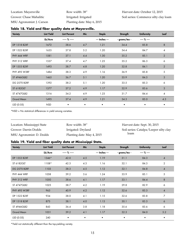Location: Mayersville Grower: Chase Mahalitic MSU Agronomist: J. Carson Row width: 38" Irrigated: Irrigated Planting date: May 6, 2015

#### **Table 18. Yield and fiber quality data at Mayersville.**

| <b>Variety</b>      | <b>Lint Yield</b> | <b>Lint Percent</b> | Mic       | <b>Staple</b>  | Strength      | <b>Uniformity</b> | Leaf           |
|---------------------|-------------------|---------------------|-----------|----------------|---------------|-------------------|----------------|
|                     | Lb/Acre           | ----- % -----       |           | --- Inches --- | - grams/tex - | ---- % ----       |                |
| DP 1518 B2XF        | 1672              | 38.6                | 4.7       | 1.21           | 34.4          | 85.8              | $\,8\,$        |
| DP 1522 B2XF        | 1635              | 37.8                | 5.2       | 1.20           | 34.4          | 84.7              | $\overline{4}$ |
| PHY 444 WRF         | 1581              | 37.1                | 4.4       | 1.30           | 35.2          | 85.1              | $\overline{2}$ |
| PHY 312 WRF         | 1537              | 37.4                | 4.7       | 1.25           | 35.2          | 86.3              | 6              |
| DP 1553 B2XF        | 1493              | 38.7                | 4.8       | 1.20           | 32.8          | 84.1              | $\overline{2}$ |
| <b>PHY 495 W3RF</b> | 1484              | 38.3                | 4.9       | 1.16           | 36.9          | 85.8              | 5              |
| <b>ST 4946GLB2</b>  | 1465              | 36.7                | 5.1       | 1.20           | 35.9          | 84.5              | $\mathfrak{Z}$ |
| <b>DG 2570 B2RF</b> | 1392              | 38.2                | 5.1       | 1.20           | 33.5          | 85.3              | 6              |
| ST 6182GLT          | 1377              | 37.2                | 4.9       | 1.17           | 32.9          | 83.6              | 3              |
| ST 4747GLB2         | 1316              | 34.2                | 4.9       | 1.23           | 31.7          | 84.4              | $\overline{4}$ |
| <b>Grand Mean</b>   | 1495              | 37.4                | 4.9       | 1.21           | 34.3          | 85.0              | 4.3            |
| LSD (0.05)          | <b>NSD</b>        | $\bullet$           | $\bullet$ | $\bullet$      | $\bullet$     | $\bullet$         | $\bullet$      |

\*NSD = No statistical differences in yield among varieties.

| Location: Mississippi State | Row width: 38"             | Harvest date: Sept. 30, 2015           |
|-----------------------------|----------------------------|----------------------------------------|
| Grower: Darrin Dodds        | Irrigated: Dryland         | Soil series: Catalpa/Leeper silty clay |
| MSU Agronomist: D. Dodds    | Planting date: May 4, 2015 | loam                                   |

#### **Table 19. Yield and fiber quality data at Mississippi State.**

| <b>Variety</b>      | <b>Lint Yield</b> | <b>Lint Percent</b> | Mic | <b>Staple</b>  | Strength      | <b>Uniformity</b> | Leaf           |
|---------------------|-------------------|---------------------|-----|----------------|---------------|-------------------|----------------|
|                     | Lb/Acre           | ----- % -----       |     | --- Inches --- | - grams/tex - | ---- % ----       |                |
| DP 1553 B2XF        | 1346*             | 42.0                | 4.5 | 1.19           | 31.1          | 84.3              | 4              |
| ST 6182GLT          | 1108*             | 42.3                | 4.3 | 1.16           | 32.1          | 84.3              | $\overline{2}$ |
| <b>DG 2570 B2RF</b> | 1103              | 38.3                | 4.5 | 1.12           | 32.1          | 84.8              | $\overline{4}$ |
| PHY 444 WRF         | 1058              | 39.2                | 3.6 | 1.24           | 33.9          | 85.1              | 5              |
| PHY 312 WRF         | 1050              | 38.6                | 4.1 | 1.17           | 33.1          | 84.4              | 8              |
| ST 4747GLB2         | 1025              | 38.7                | 4.2 | 1.19           | 29.8          | 82.9              | 6              |
| <b>PHY 495 W3RF</b> | 963               | 40.9                | 4.2 | 1.12           | 32.6          | 83.3              | $\overline{4}$ |
| DP 1522 B2XF        | 934               | 38.0                | 4.1 | 1.15           | 32.6          | 83.8              | 7              |
| DP 1518 B2XF        | 875               | 38.1                | 4.0 | 1.13           | 30.1          | 83.3              | 6              |
| ST 4946GLB2         | 843               | 36.4                | 3.8 | 1.18           | 35.6          | 83.6              | 6              |
| <b>Grand Mean</b>   | 1031              | 39.2                | 4.1 | 1.17           | 32.3          | 84.0              | 5.2            |
| LSD (0.05)          | 240               | ٠                   | ٠   | ٠              | ٠             | $\bullet$         | $\bullet$      |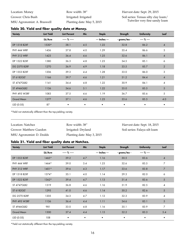| Location: Money             | Row width: 38"             | Harvest date: Sept. 29, 2015         |
|-----------------------------|----------------------------|--------------------------------------|
| Grower: Chris Bush          | Irrigated: Irrigated       | Soil series: Tensas silty clay loam/ |
| MSU Agronomist: A. Braswell | Planting date: May 5, 2015 | Tutwiler very fine sandy loam        |

## **Table 20. Yield and fiber quality data at Money.**

| <b>Variety</b>      | <b>Lint Yield</b> | <b>Lint Percent</b> | Mic       | <b>Staple</b>  | Strength      | <b>Uniformity</b> | Leaf                     |
|---------------------|-------------------|---------------------|-----------|----------------|---------------|-------------------|--------------------------|
|                     | Lb/Acre           | ----- % -----       |           | --- Inches --- | - grams/tex - | ---- % ----       |                          |
| DP 1518 B2XF        | 1530*             | 38.1                | 4.5       | 1.22           | 32.8          | 86.2              | $\overline{4}$           |
| PHY 444 WRF         | 1436              | 37.8                | 4.0       | 1.29           | 35.4          | 86.6              | 3                        |
| PHY 312 WRF         | 1423              | 36.4                | 4.6       | 1.25           | 32.6          | 86.1              | $\overline{4}$           |
| DP 1522 B2XF        | 1380              | 36.3                | 4.8       | 1.23           | 34.5          | 85.1              | 6                        |
| <b>DG 2570 B2RF</b> | 1270              | 36.9                | 4.9       | 1.18           | 33.5          | 85.7              | 2                        |
| DP 1553 B2XF        | 1206              | 39.3                | 4.4       | 1.28           | 33.0          | 86.0              | 3                        |
| ST 6182GLT          | 1166              | 39.7                | 4.6       | 1.21           | 31.2          | 84.4              | $\overline{4}$           |
| ST 4747GLB2         | 1141              | 34.4                | 4.8       | 1.22           | 30.9          | 84.1              | $\overline{\mathcal{A}}$ |
| ST 4946GLB2         | 1136              | 34.6                | 5.1       | 1.22           | 35.0          | 85.5              | $5\overline{)}$          |
| <b>PHY 495 W3RF</b> | 1083              | 37.5                | 4.6       | 1.19           | 36.7          | 85.6              | 5                        |
| <b>Grand Mean</b>   | 1277              | 37.1                | 4.6       | 1.23           | 33.6          | 85.5              | 4.0                      |
| LSD (0.05)          | 87                | $\bullet$           | $\bullet$ | $\bullet$      | $\bullet$     | $\bullet$         | $\bullet$                |

\*Yield not statistically different than the top-yielding variety.

| Location: Natchez        | Row width: 38"             | Harvest date: Sept. 18, 2015  |
|--------------------------|----------------------------|-------------------------------|
| Grower: Matthew Guedon   | Irrigated: Dryland         | Soil series: Falaya silt loam |
| MSU Agronomist: D. Dodds | Planting date: May 3, 2015 |                               |

## **Table 21. Yield and fiber quality data at Natchez.**

| <b>Variety</b>      | <b>Lint Yield</b> | <b>Lint Percent</b> | Mic | Staple         | Strength      | <b>Uniformity</b> | Leaf                     |
|---------------------|-------------------|---------------------|-----|----------------|---------------|-------------------|--------------------------|
|                     | Lb/Acre           | ----- % -----       |     | --- Inches --- | - grams/tex - | ---- % ----       |                          |
| DP 1553 B2XF        | $1465*$           | 39.2                | 4.7 | 1.16           | 30.5          | 83.6              | $\overline{\mathcal{A}}$ |
| PHY 444 WRF         | 1464*             | 39.0                | 3.4 | 1.23           | 32.6          | 83.5              | 7                        |
| PHY 312 WRF         | $1401*$           | 39.6                | 4.3 | 1.17           | 33.6          | 83.8              | $\overline{7}$           |
| DP 1518 B2XF        | 1374*             | 35.1                | 4.0 | 1.14           | 29.3          | 82.0              | 6                        |
| DP 1522 B2XF        | 1362*             | 39.4                | 4.7 | 1.13           | 31.4          | 83.6              | 5                        |
| ST 4747GLB2         | 1319              | 36.8                | 4.6 | 1.16           | 31.9          | 82.5              | 4                        |
| ST 6182GLT          | 1295              | 41.0                | 4.6 | 1.14           | 30.2          | 82.6              | 5                        |
| <b>DG 2570 B2RF</b> | 1205              | 34.3                | 4.7 | 1.12           | 32.3          | 83.9              | 4                        |
| <b>PHY 495 W3RF</b> | 1136              | 36.4                | 4.4 | 1.11           | 34.6          | 83.1              | 5                        |
| ST 4946GLB2         | 981               | 33.0                | 4.8 | 1.16           | 35.1          | 83.9              | $\overline{7}$           |
| <b>Grand Mean</b>   | 1300              | 37.4                | 4.4 | 1.15           | 32.2          | 83.3              | 5.4                      |
| LSD (0.05)          | 108               | $\bullet$           | ٠   |                |               | $\bullet$         |                          |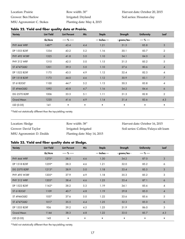| Location: Prairie         | Row width: 30"             |
|---------------------------|----------------------------|
| Grower: Ben Harlow        | Irrigated: Dryland         |
| MSU Agronomist: C. Stokes | Planting date: May 4, 2015 |

|  |  |  |  |  | Table 22. Yield and fiber quality data at Prairie. |
|--|--|--|--|--|----------------------------------------------------|
|--|--|--|--|--|----------------------------------------------------|

| <b>Variety</b>      | <b>Lint Yield</b> | <b>Lint Percent</b> | Mic       | Staple         | Strength      | <b>Uniformity</b> | Leaf           |
|---------------------|-------------------|---------------------|-----------|----------------|---------------|-------------------|----------------|
|                     | Lb/Acre           | ----- % -----       |           | --- Inches --- | - grams/tex - | ---- % ----       |                |
| PHY 444 WRF         | $1487*$           | 43.4                | 4.4       | 1.21           | 31.5          | 85.8              | $\sqrt{3}$     |
| DP 1553 B2XF        | 1334              | 43.2                | 5.2       | 1.16           | 30.1          | 83.7              | $\overline{2}$ |
| <b>PHY 495 W3RF</b> | 1325              | 41.8                | 5.0       | 1.10           | 34.1          | 84.0              | 6              |
| PHY 312 WRF         | 1310              | 42.5                | 5.0       | 1.15           | 31.5          | 85.2              | 5              |
| <b>ST 4747GLB2</b>  | 1201              | 39.3                | 5.0       | 1.10           | 27.6          | 80.6              | $\overline{4}$ |
| DP 1522 B2XF        | 1175              | 43.5                | 4.9       | 1.12           | 32.4          | 82.3              | 4              |
| DP 1518 B2XF        | 1173              | 44.0                | 4.6       | 1.12           | 30.9          | 83.1              | $\overline{7}$ |
| ST 6182GLT          | 1100              | 44.7                | 5.2       | 1.13           | 30.3          | 83.8              | 4              |
| ST 4946GLB2         | 1092              | 40.8                | 4.7       | 1.16           | 34.2          | 84.4              | 6              |
| <b>DG 2570 B2RF</b> | 1006              | 33.3                | 5.1       | 1.11           | 31.3          | 82.8              | $\overline{2}$ |
| <b>Grand Mean</b>   | 1220              | 41.6                | 4.9       | 1.14           | 31.4          | 83.6              | 4.3            |
| LSD (0.05)          | 141               | $\bullet$           | $\bullet$ | $\bullet$      | $\bullet$     | $\bullet$         | $\bullet$      |

\*Yield not statistically different than the top-yielding variety.

| Location: Sledge         | Row width: 38"              | Harvest date: October 16, 2015        |
|--------------------------|-----------------------------|---------------------------------------|
| Grower: David Taylor     | Irrigated: Irrigated        | Soil series: Collins/Falaya silt loam |
| MSU Agronomist: D. Dodds | Planting date: May 14, 2015 |                                       |

#### **Table 23. Yield and fiber quality data at Sledge.**

| <b>Variety</b>      | <b>Lint Yield</b> | <b>Lint Percent</b> | Mic       | Staple         | Strength      | <b>Uniformity</b> | Leaf           |
|---------------------|-------------------|---------------------|-----------|----------------|---------------|-------------------|----------------|
|                     | Lb/Acre           | ----- % -----       |           | --- Inches --- | - grams/tex - | ---- % ----       |                |
| PHY 444 WRF         | $1275*$           | 38.5                | 4.6       | 1.30           | 34.2          | 87.0              | 3              |
| DP 1518 B2XF        | $1259*$           | 38.3                | 4.6       | 1.21           | 32.0          | 85.2              | 6              |
| <b>DG 2570 B2RF</b> | $1213*$           | 38.9                | 5.0       | 1.18           | 33.4          | 85.5              | 3              |
| <b>PHY 495 W3RF</b> | 1205*             | 37.9                | 4.9       | 1.18           | 35.3          | 85.2              | 3              |
| PHY 312 WRF         | 1203*             | 38.4                | 4.6       | 1.25           | 33.4          | 87.1              | 6              |
| DP 1522 B2XF        | $1162*$           | 38.2                | 5.3       | 1.19           | 34.1          | 85.6              | 4              |
| ST 6182GLT          | 1109              | 40.7                | 4.8       | 1.19           | 29.8          | 85.0              | $\overline{4}$ |
| ST 4946GLB2         | 1037              | 37.6                | 5.0       | 1.22           | 33.6          | 85.6              | 5              |
| ST 4747GLB2         | 1017              | 35.5                | 4.4       | 1.25           | 32.3          | 85.0              | 6              |
| DP 1553 B2XF        | 956               | 39.2                | 4.5       | 1.25           | 31.9          | 86.0              | 3              |
| <b>Grand Mean</b>   | 1144              | 38.3                | 4.8       | 1.22           | 33.0          | 85.7              | 4.3            |
| LSD (0.05)          | 143               | $\bullet$           | $\bullet$ | ٠              | $\bullet$     | $\bullet$         | ٠              |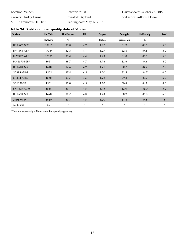| Location: Vaiden         | Row width: 38"              | Harvest date: October 23, 2015 |
|--------------------------|-----------------------------|--------------------------------|
| Grower: Shirley Farms    | Irrigated: Dryland          | Soil series: Adler silt loam   |
| MSU Agronomist: E. Flint | Planting date: May 12, 2015 |                                |

| <b>Variety</b>      | <b>Lint Yield</b> | <b>Lint Percent</b> | Mic | <b>Staple</b>  | Strength      | <b>Uniformity</b> | Leaf            |
|---------------------|-------------------|---------------------|-----|----------------|---------------|-------------------|-----------------|
|                     | Lb/Acre           | ----- % -----       |     | --- Inches --- | - grams/tex - | ---- % ----       |                 |
| DP 1522 B2XF        | $1811*$           | 39.8                | 4.9 | 1.17           | 31.9          | 83.9              | 5.0             |
| PHY 444 WRF         | 1798*             | 42.3                | 4.1 | 1.27           | 32.6          | 84.5              | 3.0             |
| PHY 312 WRF         | 1769*             | 39.4                | 4.4 | 1.23           | 31.0          | 85.5              | 5.0             |
| <b>DG 2570 B2RF</b> | 1651              | 38.7                | 4.7 | 1.16           | 32.6          | 84.6              | 4.0             |
| DP 1518 B2XF        | 1618              | 37.6                | 4.2 | 1.21           | 30.7          | 84.2              | 7.0             |
| ST 4946GLB2         | 1565              | 37.4                | 4.5 | 1.20           | 32.5          | 84.7              | 6.0             |
| <b>ST 4747GLB2</b>  | 1548              | 37.7                | 4.5 | 1.22           | 29.4          | 83.3              | 6.0             |
| ST 6182GLT          | 1531              | 42.0                | 4.5 | 1.20           | 30.8          | 84.8              | $4.0$           |
| <b>PHY 495 W3RF</b> | 1518              | 39.1                | 4.5 | 1.15           | 32.0          | 85.0              | 5.0             |
| DP 1553 B2XF        | 1490              | 38.7                | 4.3 | 1.23           | 30.9          | 85.6              | $5.0$           |
| <b>Grand Mean</b>   | 1630              | 39.3                | 4.5 | 1.20           | 31.4          | 84.6              | $5\overline{)}$ |
| LSD (0.05)          | 59                | ٠                   |     |                |               | $\bullet$         | ٠               |

## **Table 24. Yield and fiber quality data at Vaiden.**